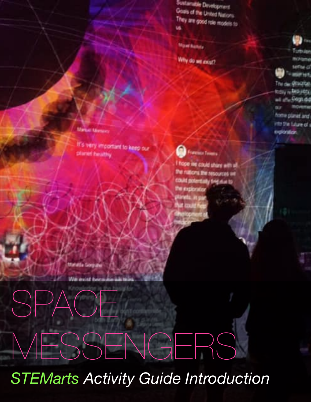**Sustainable Diretopment** Goals of the United Nations They are good role models to

**Mand Baskets** 



ette d **HOFFIER** 

The decisional Call today nu ARG HETA ail alfu Géoptidad home planet and into the luture of a **Exploration** 

It's very important to keep our planet healthy



Francisco Texase

I hope we could shine with all the nations the resources we could potentially find due to the exploration at cracket fun

## SPA NESSENGERS

**STEMarts Activity Guide Introduction**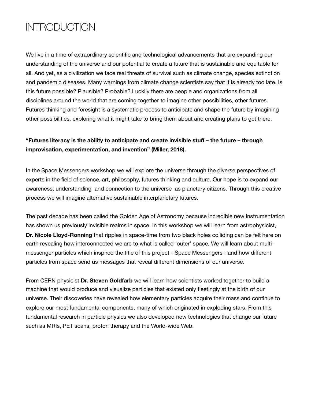## INTRODUCTION

We live in a time of extraordinary scientific and technological advancements that are expanding our understanding of the universe and our potential to create a future that is sustainable and equitable for all. And yet, as a civilization we face real threats of survival such as climate change, species extinction and pandemic diseases. Many warnings from climate change scientists say that it is already too late. Is this future possible? Plausible? Probable? Luckily there are people and organizations from all disciplines around the world that are coming together to imagine other possibilities, other futures. Futures thinking and foresight is a systematic process to anticipate and shape the future by imagining other possibilities, exploring what it might take to bring them about and creating plans to get there.

## **"Futures literacy is the ability to anticipate and create invisible stuff – the future – through improvisation, experimentation, and invention" (Miller, 2018).**

In the Space Messengers workshop we will explore the universe through the diverse perspectives of experts in the field of science, art, philosophy, futures thinking and culture. Our hope is to expand our awareness, understanding and connection to the universe as planetary citizens. Through this creative process we will imagine alternative sustainable interplanetary futures.

The past decade has been called the Golden Age of Astronomy because incredible new instrumentation has shown us previously invisible realms in space. In this workshop we will learn from astrophysicist, **Dr. Nicole Lloyd-Ronning** that ripples in space-time from two black holes colliding can be felt here on earth revealing how interconnected we are to what is called 'outer' space. We will learn about multimessenger particles which inspired the title of this project - Space Messengers - and how different particles from space send us messages that reveal different dimensions of our universe.

From CERN physicist **Dr. Steven Goldfarb** we will learn how scientists worked together to build a machine that would produce and visualize particles that existed only fleetingly at the birth of our universe. Their discoveries have revealed how elementary particles acquire their mass and continue to explore our most fundamental components, many of which originated in exploding stars. From this fundamental research in particle physics we also developed new technologies that change our future such as MRIs, PET scans, proton therapy and the World-wide Web.